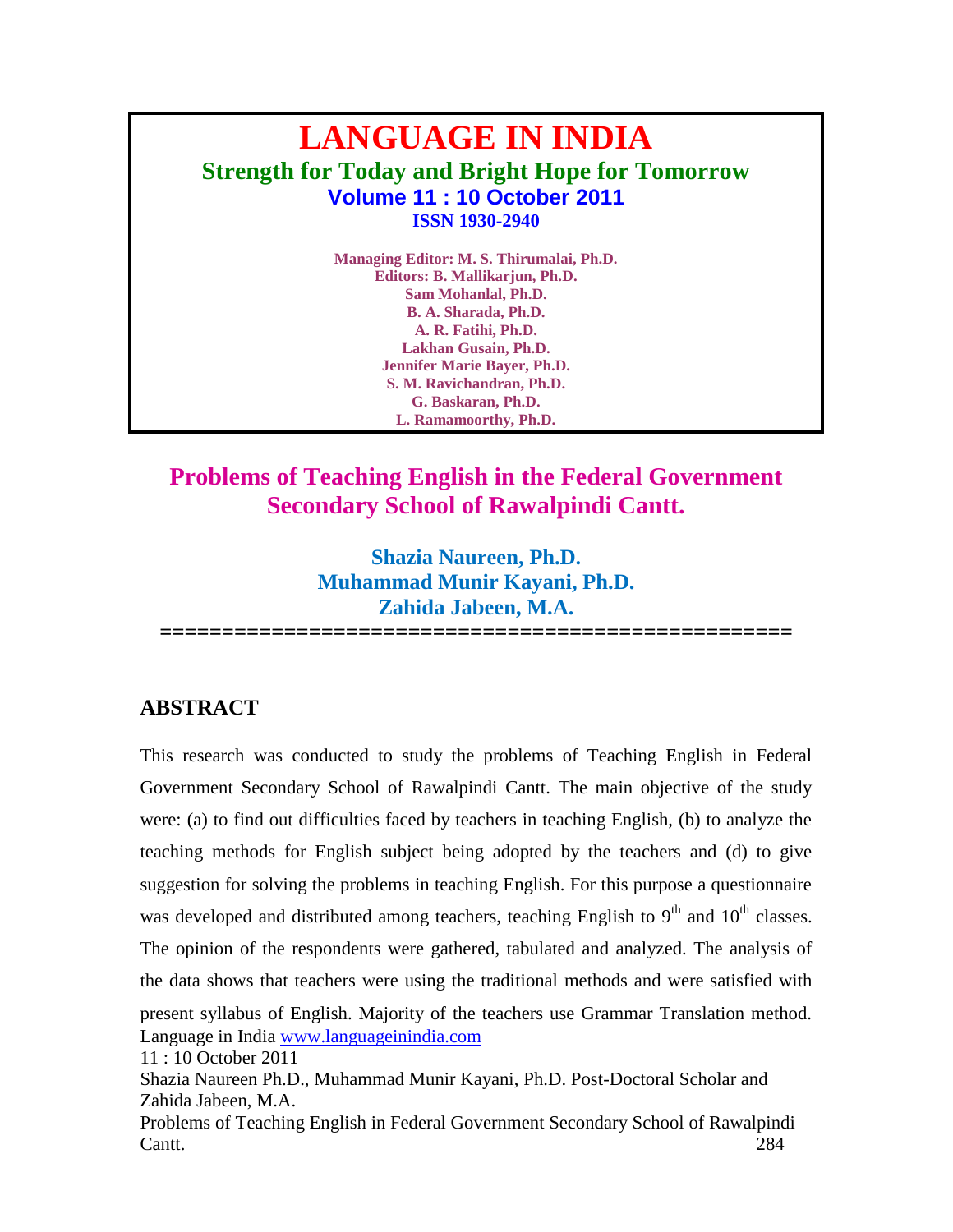# **LANGUAGE IN INDIA Strength for Today and Bright Hope for Tomorrow Volume 11 : 10 October 2011 ISSN 1930-2940**

**Managing Editor: M. S. Thirumalai, Ph.D. Editors: B. Mallikarjun, Ph.D. Sam Mohanlal, Ph.D. B. A. Sharada, Ph.D. A. R. Fatihi, Ph.D. Lakhan Gusain, Ph.D. Jennifer Marie Bayer, Ph.D. S. M. Ravichandran, Ph.D. G. Baskaran, Ph.D. L. Ramamoorthy, Ph.D.**

## **Problems of Teaching English in the Federal Government Secondary School of Rawalpindi Cantt.**

**Shazia Naureen, Ph.D. Muhammad Munir Kayani, Ph.D. Zahida Jabeen, M.A.**

**===================================================**

## **ABSTRACT**

Language in India [www.languageinindia.com](http://www.languageinindia.com/) 11 : 10 October 2011 Shazia Naureen Ph.D., Muhammad Munir Kayani, Ph.D. Post-Doctoral Scholar and Zahida Jabeen, M.A. Problems of Teaching English in Federal Government Secondary School of Rawalpindi Cantt. 284 This research was conducted to study the problems of Teaching English in Federal Government Secondary School of Rawalpindi Cantt. The main objective of the study were: (a) to find out difficulties faced by teachers in teaching English, (b) to analyze the teaching methods for English subject being adopted by the teachers and (d) to give suggestion for solving the problems in teaching English. For this purpose a questionnaire was developed and distributed among teachers, teaching English to  $9<sup>th</sup>$  and  $10<sup>th</sup>$  classes. The opinion of the respondents were gathered, tabulated and analyzed. The analysis of the data shows that teachers were using the traditional methods and were satisfied with present syllabus of English. Majority of the teachers use Grammar Translation method.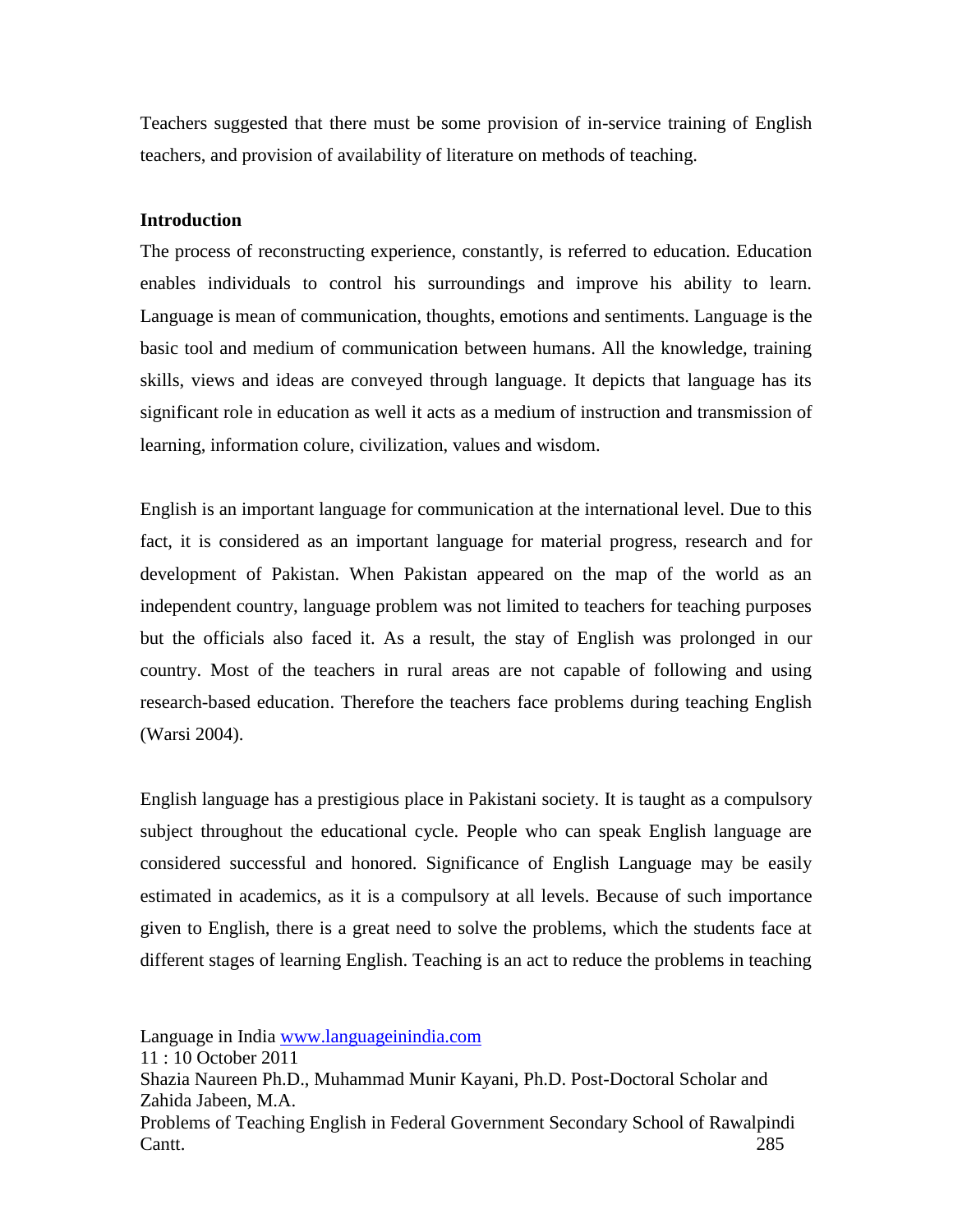Teachers suggested that there must be some provision of in-service training of English teachers, and provision of availability of literature on methods of teaching.

#### **Introduction**

The process of reconstructing experience, constantly, is referred to education. Education enables individuals to control his surroundings and improve his ability to learn. Language is mean of communication, thoughts, emotions and sentiments. Language is the basic tool and medium of communication between humans. All the knowledge, training skills, views and ideas are conveyed through language. It depicts that language has its significant role in education as well it acts as a medium of instruction and transmission of learning, information colure, civilization, values and wisdom.

English is an important language for communication at the international level. Due to this fact, it is considered as an important language for material progress, research and for development of Pakistan. When Pakistan appeared on the map of the world as an independent country, language problem was not limited to teachers for teaching purposes but the officials also faced it. As a result, the stay of English was prolonged in our country. Most of the teachers in rural areas are not capable of following and using research-based education. Therefore the teachers face problems during teaching English (Warsi 2004).

English language has a prestigious place in Pakistani society. It is taught as a compulsory subject throughout the educational cycle. People who can speak English language are considered successful and honored. Significance of English Language may be easily estimated in academics, as it is a compulsory at all levels. Because of such importance given to English, there is a great need to solve the problems, which the students face at different stages of learning English. Teaching is an act to reduce the problems in teaching

Language in India [www.languageinindia.com](http://www.languageinindia.com/)

11 : 10 October 2011

Shazia Naureen Ph.D., Muhammad Munir Kayani, Ph.D. Post-Doctoral Scholar and Zahida Jabeen, M.A.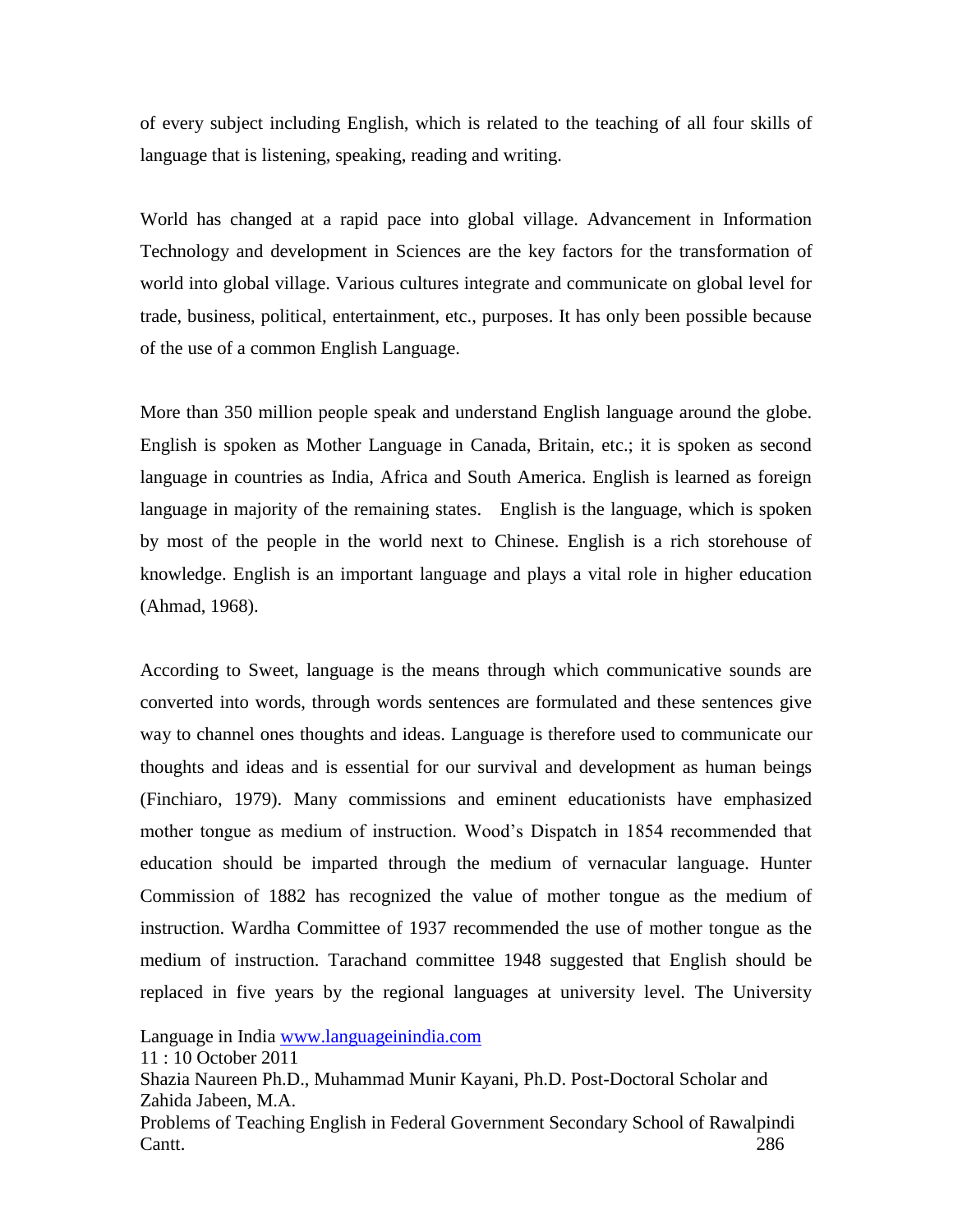of every subject including English, which is related to the teaching of all four skills of language that is listening, speaking, reading and writing.

World has changed at a rapid pace into global village. Advancement in Information Technology and development in Sciences are the key factors for the transformation of world into global village. Various cultures integrate and communicate on global level for trade, business, political, entertainment, etc., purposes. It has only been possible because of the use of a common English Language.

More than 350 million people speak and understand English language around the globe. English is spoken as Mother Language in Canada, Britain, etc.; it is spoken as second language in countries as India, Africa and South America. English is learned as foreign language in majority of the remaining states. English is the language, which is spoken by most of the people in the world next to Chinese. English is a rich storehouse of knowledge. English is an important language and plays a vital role in higher education (Ahmad, 1968).

According to Sweet, language is the means through which communicative sounds are converted into words, through words sentences are formulated and these sentences give way to channel ones thoughts and ideas. Language is therefore used to communicate our thoughts and ideas and is essential for our survival and development as human beings (Finchiaro, 1979). Many commissions and eminent educationists have emphasized mother tongue as medium of instruction. Wood's Dispatch in 1854 recommended that education should be imparted through the medium of vernacular language. Hunter Commission of 1882 has recognized the value of mother tongue as the medium of instruction. Wardha Committee of 1937 recommended the use of mother tongue as the medium of instruction. Tarachand committee 1948 suggested that English should be replaced in five years by the regional languages at university level. The University

Language in India [www.languageinindia.com](http://www.languageinindia.com/)

Shazia Naureen Ph.D., Muhammad Munir Kayani, Ph.D. Post-Doctoral Scholar and Zahida Jabeen, M.A.

<sup>11 : 10</sup> October 2011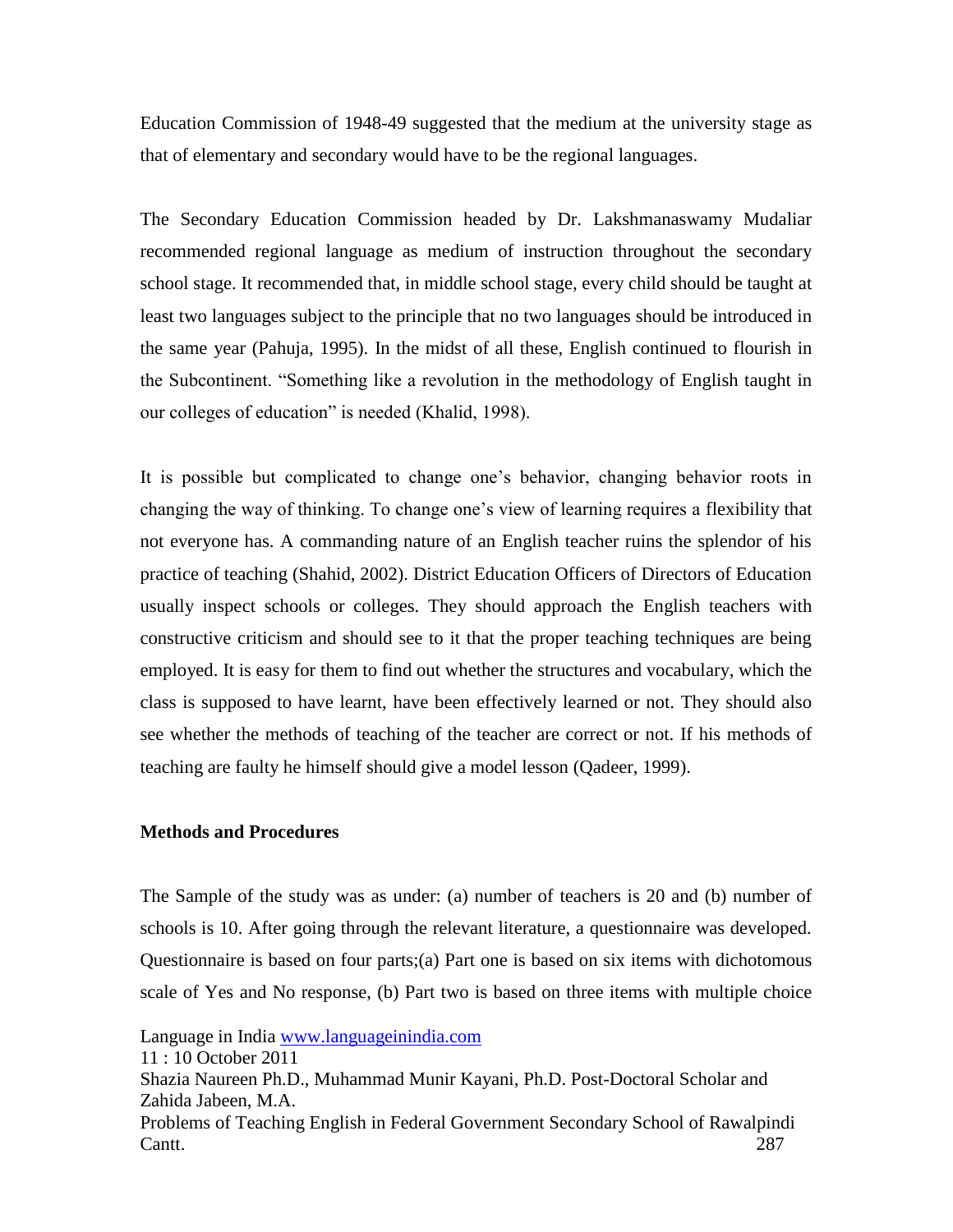Education Commission of 1948-49 suggested that the medium at the university stage as that of elementary and secondary would have to be the regional languages.

The Secondary Education Commission headed by Dr. Lakshmanaswamy Mudaliar recommended regional language as medium of instruction throughout the secondary school stage. It recommended that, in middle school stage, every child should be taught at least two languages subject to the principle that no two languages should be introduced in the same year (Pahuja, 1995). In the midst of all these, English continued to flourish in the Subcontinent. "Something like a revolution in the methodology of English taught in our colleges of education" is needed (Khalid, 1998).

It is possible but complicated to change one's behavior, changing behavior roots in changing the way of thinking. To change one's view of learning requires a flexibility that not everyone has. A commanding nature of an English teacher ruins the splendor of his practice of teaching (Shahid, 2002). District Education Officers of Directors of Education usually inspect schools or colleges. They should approach the English teachers with constructive criticism and should see to it that the proper teaching techniques are being employed. It is easy for them to find out whether the structures and vocabulary, which the class is supposed to have learnt, have been effectively learned or not. They should also see whether the methods of teaching of the teacher are correct or not. If his methods of teaching are faulty he himself should give a model lesson (Qadeer, 1999).

#### **Methods and Procedures**

The Sample of the study was as under: (a) number of teachers is 20 and (b) number of schools is 10. After going through the relevant literature, a questionnaire was developed. Questionnaire is based on four parts;(a) Part one is based on six items with dichotomous scale of Yes and No response, (b) Part two is based on three items with multiple choice

Language in India [www.languageinindia.com](http://www.languageinindia.com/)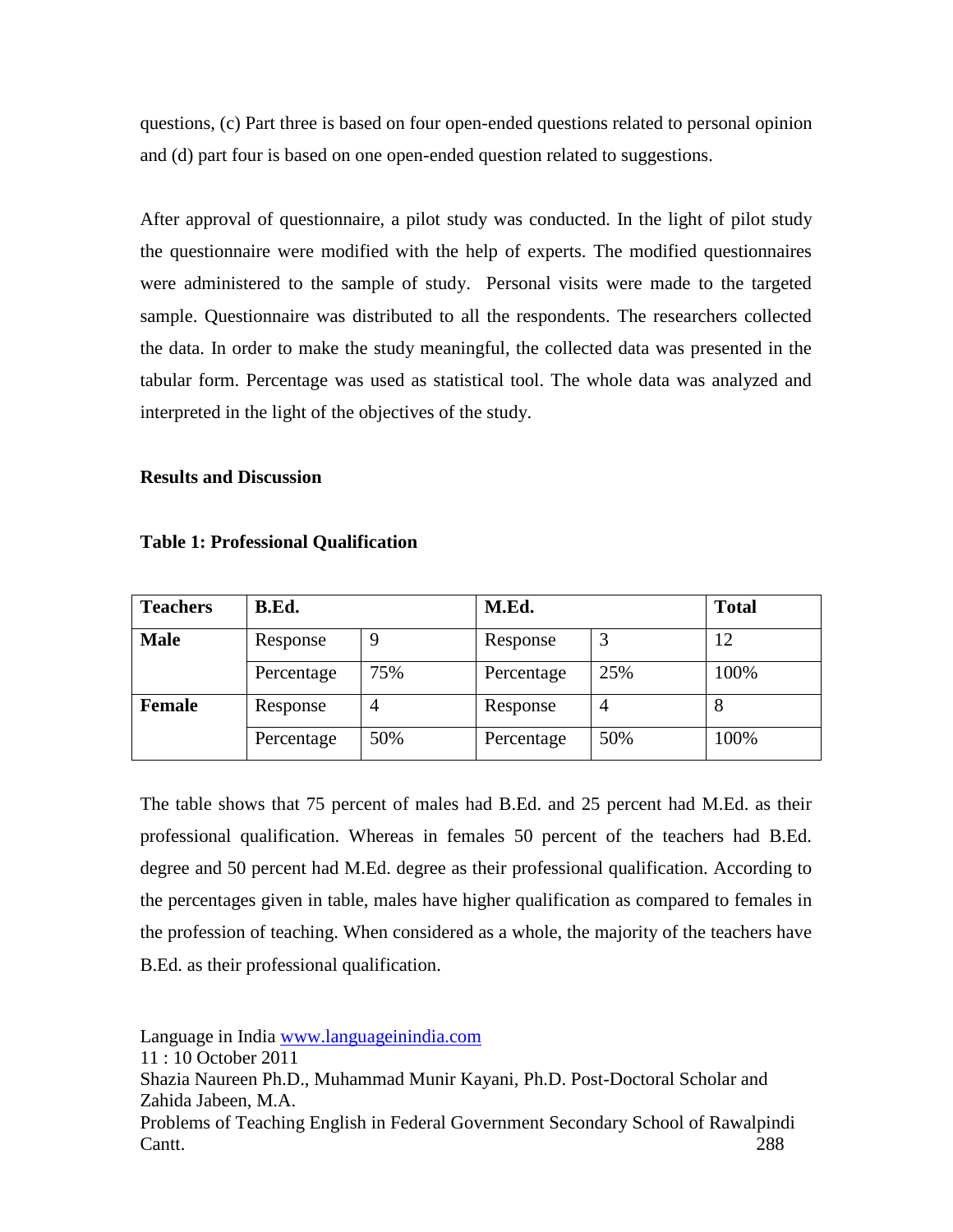questions, (c) Part three is based on four open-ended questions related to personal opinion and (d) part four is based on one open-ended question related to suggestions.

After approval of questionnaire, a pilot study was conducted. In the light of pilot study the questionnaire were modified with the help of experts. The modified questionnaires were administered to the sample of study. Personal visits were made to the targeted sample. Questionnaire was distributed to all the respondents. The researchers collected the data. In order to make the study meaningful, the collected data was presented in the tabular form. Percentage was used as statistical tool. The whole data was analyzed and interpreted in the light of the objectives of the study.

#### **Results and Discussion**

| <b>Teachers</b> | B.Ed.      |     | M.Ed.      |     | <b>Total</b> |
|-----------------|------------|-----|------------|-----|--------------|
| <b>Male</b>     | Response   |     | Response   |     | 12           |
|                 | Percentage | 75% | Percentage | 25% | 100%         |
| <b>Female</b>   | Response   | 4   | Response   |     | 8            |
|                 | Percentage | 50% | Percentage | 50% | 100%         |

**Table 1: Professional Qualification**

The table shows that 75 percent of males had B.Ed. and 25 percent had M.Ed. as their professional qualification. Whereas in females 50 percent of the teachers had B.Ed. degree and 50 percent had M.Ed. degree as their professional qualification. According to the percentages given in table, males have higher qualification as compared to females in the profession of teaching. When considered as a whole, the majority of the teachers have B.Ed. as their professional qualification.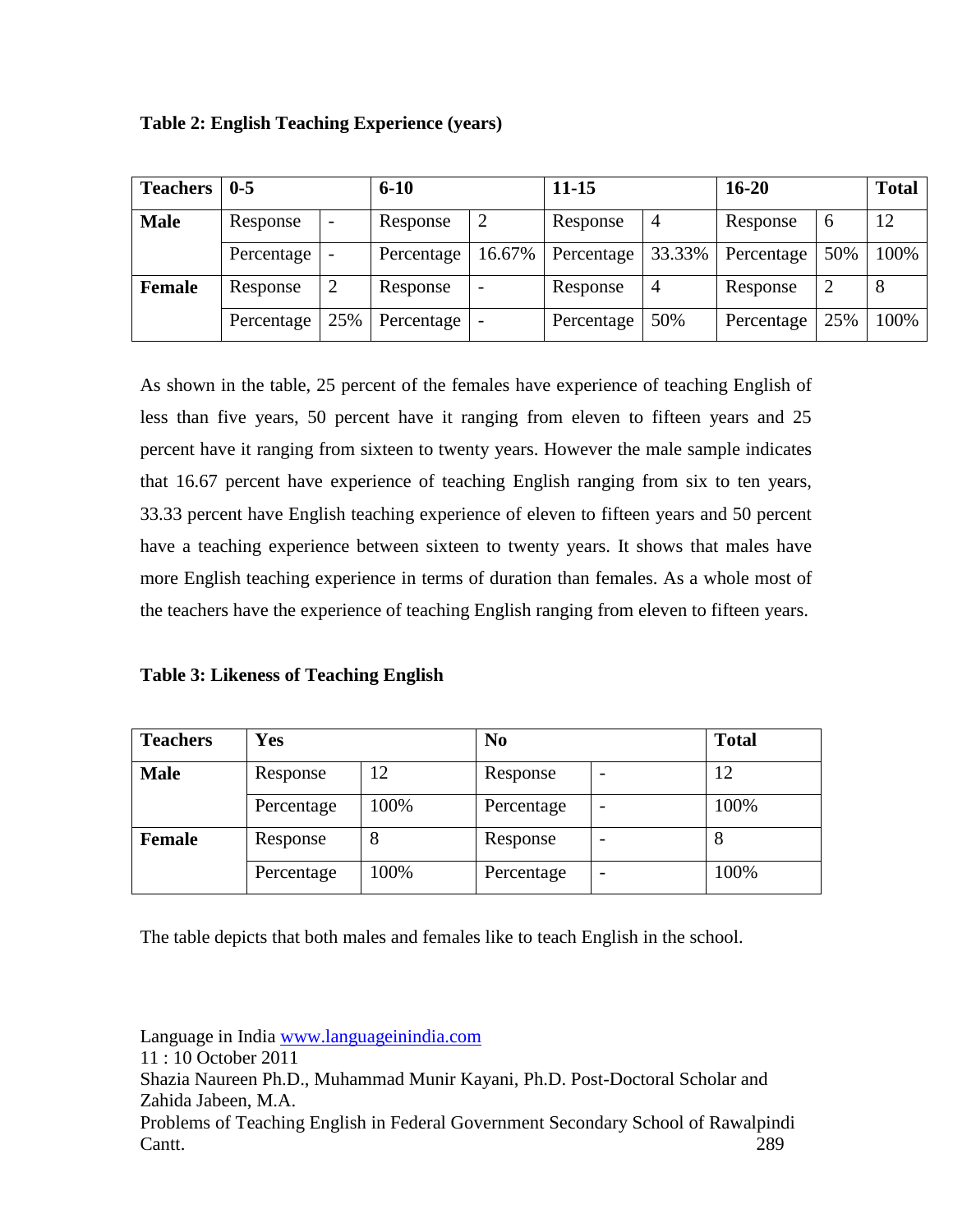|  | <b>Table 2: English Teaching Experience (years)</b> |  |  |
|--|-----------------------------------------------------|--|--|
|  |                                                     |  |  |

| <b>Teachers</b> | $0 - 5$    |     | $6 - 10$   |                          | $11 - 15$  |        | $16 - 20$  |               | <b>Total</b> |
|-----------------|------------|-----|------------|--------------------------|------------|--------|------------|---------------|--------------|
| <b>Male</b>     | Response   |     | Response   |                          | Response   | 4      | Response   | $\mathfrak b$ | 12           |
|                 | Percentage |     | Percentage | 16.67%                   | Percentage | 33.33% | Percentage | 50%           | 100%         |
| <b>Female</b>   | Response   | 2   | Response   | $\overline{\phantom{0}}$ | Response   | 4      | Response   | ↑             | 8            |
|                 | Percentage | 25% | Percentage |                          | Percentage | 50%    | Percentage | 25%           | 100%         |

As shown in the table, 25 percent of the females have experience of teaching English of less than five years, 50 percent have it ranging from eleven to fifteen years and 25 percent have it ranging from sixteen to twenty years. However the male sample indicates that 16.67 percent have experience of teaching English ranging from six to ten years, 33.33 percent have English teaching experience of eleven to fifteen years and 50 percent have a teaching experience between sixteen to twenty years. It shows that males have more English teaching experience in terms of duration than females. As a whole most of the teachers have the experience of teaching English ranging from eleven to fifteen years.

## **Table 3: Likeness of Teaching English**

| <b>Teachers</b> | <b>Yes</b>     |      | N <sub>0</sub> |  | <b>Total</b> |
|-----------------|----------------|------|----------------|--|--------------|
| <b>Male</b>     | 12<br>Response |      | Response       |  | 12           |
|                 | Percentage     | 100% | Percentage     |  | 100%         |
| <b>Female</b>   | Response       | 8    | Response       |  | 8            |
|                 | Percentage     | 100% | Percentage     |  | 100%         |

The table depicts that both males and females like to teach English in the school.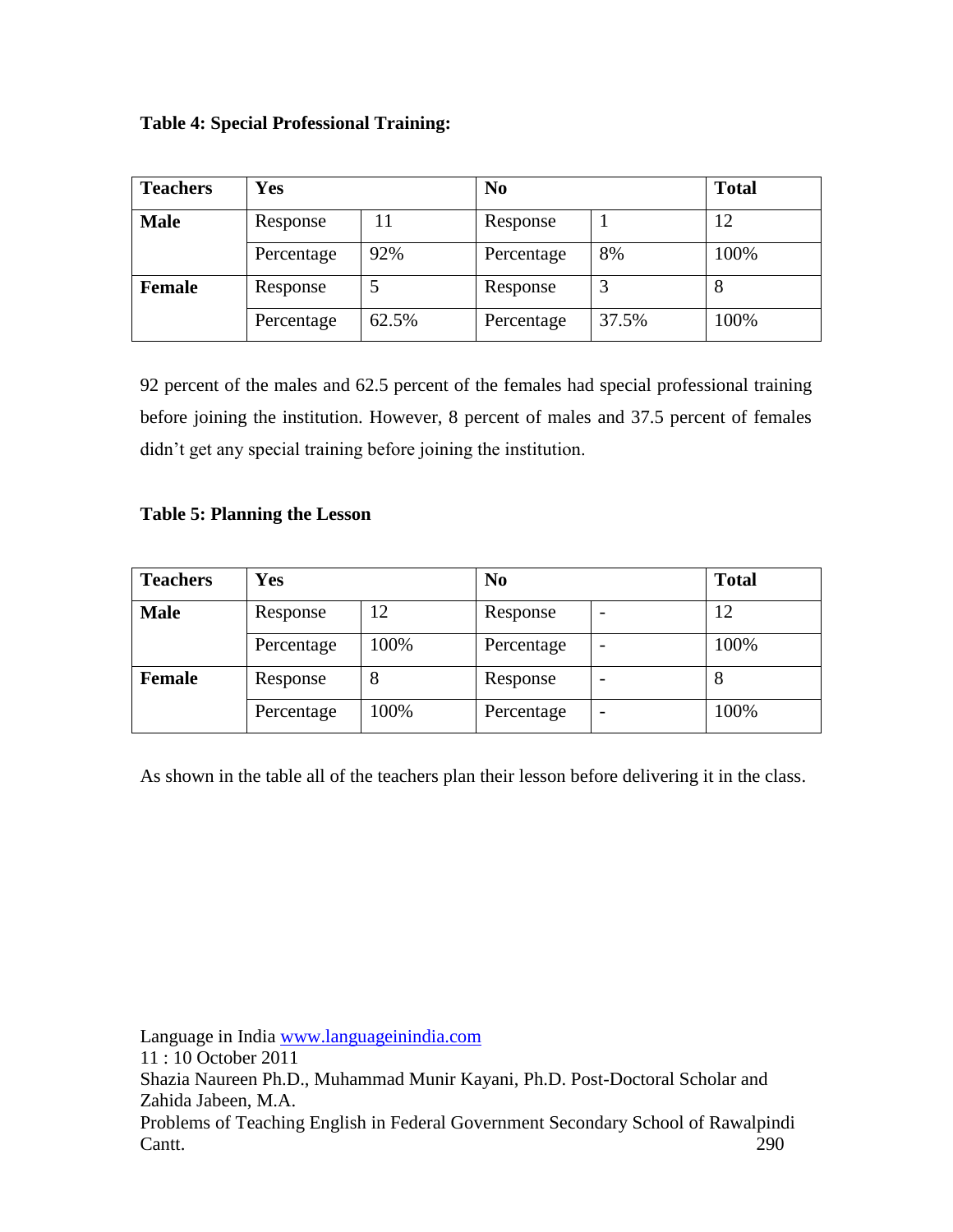|  |  |  | <b>Table 4: Special Professional Training:</b> |  |
|--|--|--|------------------------------------------------|--|
|--|--|--|------------------------------------------------|--|

| <b>Teachers</b> | <b>Yes</b> |       | N <sub>0</sub> | <b>Total</b> |      |
|-----------------|------------|-------|----------------|--------------|------|
| <b>Male</b>     | Response   |       | Response       |              | 12   |
|                 | Percentage | 92%   | Percentage     | 8%           | 100% |
| <b>Female</b>   | Response   |       | Response       |              | 8    |
|                 | Percentage | 62.5% | Percentage     | 37.5%        | 100% |

92 percent of the males and 62.5 percent of the females had special professional training before joining the institution. However, 8 percent of males and 37.5 percent of females didn't get any special training before joining the institution.

## **Table 5: Planning the Lesson**

| <b>Teachers</b> | <b>Yes</b>     |      | N <sub>0</sub> |  | <b>Total</b> |
|-----------------|----------------|------|----------------|--|--------------|
| <b>Male</b>     | 12<br>Response |      | Response       |  | 12           |
|                 | Percentage     | 100% | Percentage     |  | 100%         |
| <b>Female</b>   | Response       | 8    | Response       |  | 8            |
|                 | Percentage     | 100% | Percentage     |  | 100%         |

As shown in the table all of the teachers plan their lesson before delivering it in the class.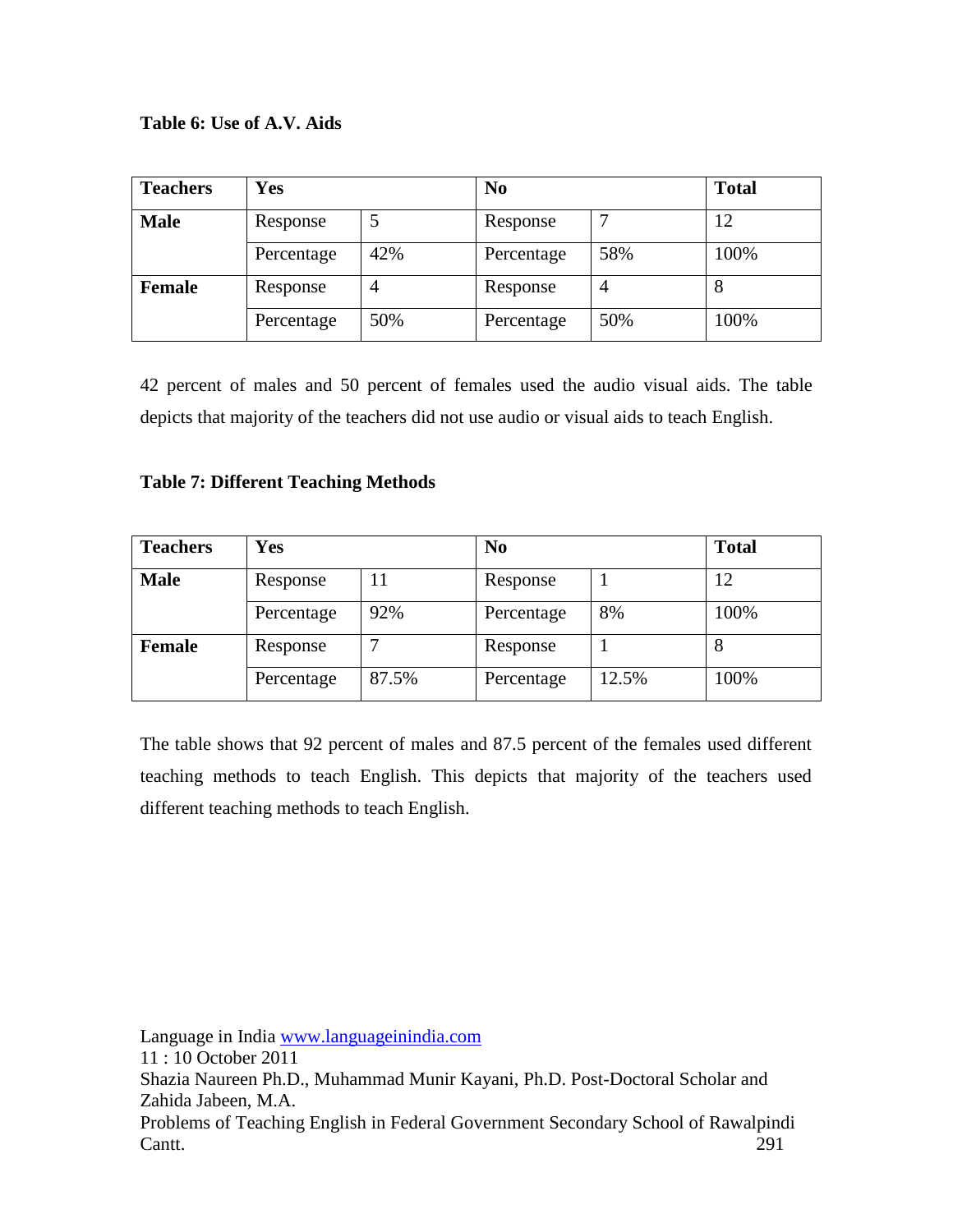## **Table 6: Use of A.V. Aids**

| <b>Teachers</b> | <b>Yes</b>    |     | N <sub>0</sub> | <b>Total</b> |      |
|-----------------|---------------|-----|----------------|--------------|------|
| <b>Male</b>     | 5<br>Response |     | Response       |              | 12   |
|                 | Percentage    | 42% | Percentage     | 58%          | 100% |
| <b>Female</b>   | Response      | 4   | Response       |              | 8    |
|                 | Percentage    | 50% | Percentage     | 50%          | 100% |

42 percent of males and 50 percent of females used the audio visual aids. The table depicts that majority of the teachers did not use audio or visual aids to teach English.

#### **Table 7: Different Teaching Methods**

| <b>Teachers</b> | Yes            |       | N <sub>0</sub> | <b>Total</b> |      |
|-----------------|----------------|-------|----------------|--------------|------|
| <b>Male</b>     | Response<br>11 |       | Response       |              | 12   |
|                 | Percentage     | 92%   | Percentage     | 8%           | 100% |
| <b>Female</b>   | Response       |       | Response       |              | 8    |
|                 | Percentage     | 87.5% | Percentage     | 12.5%        | 100% |

The table shows that 92 percent of males and 87.5 percent of the females used different teaching methods to teach English. This depicts that majority of the teachers used different teaching methods to teach English.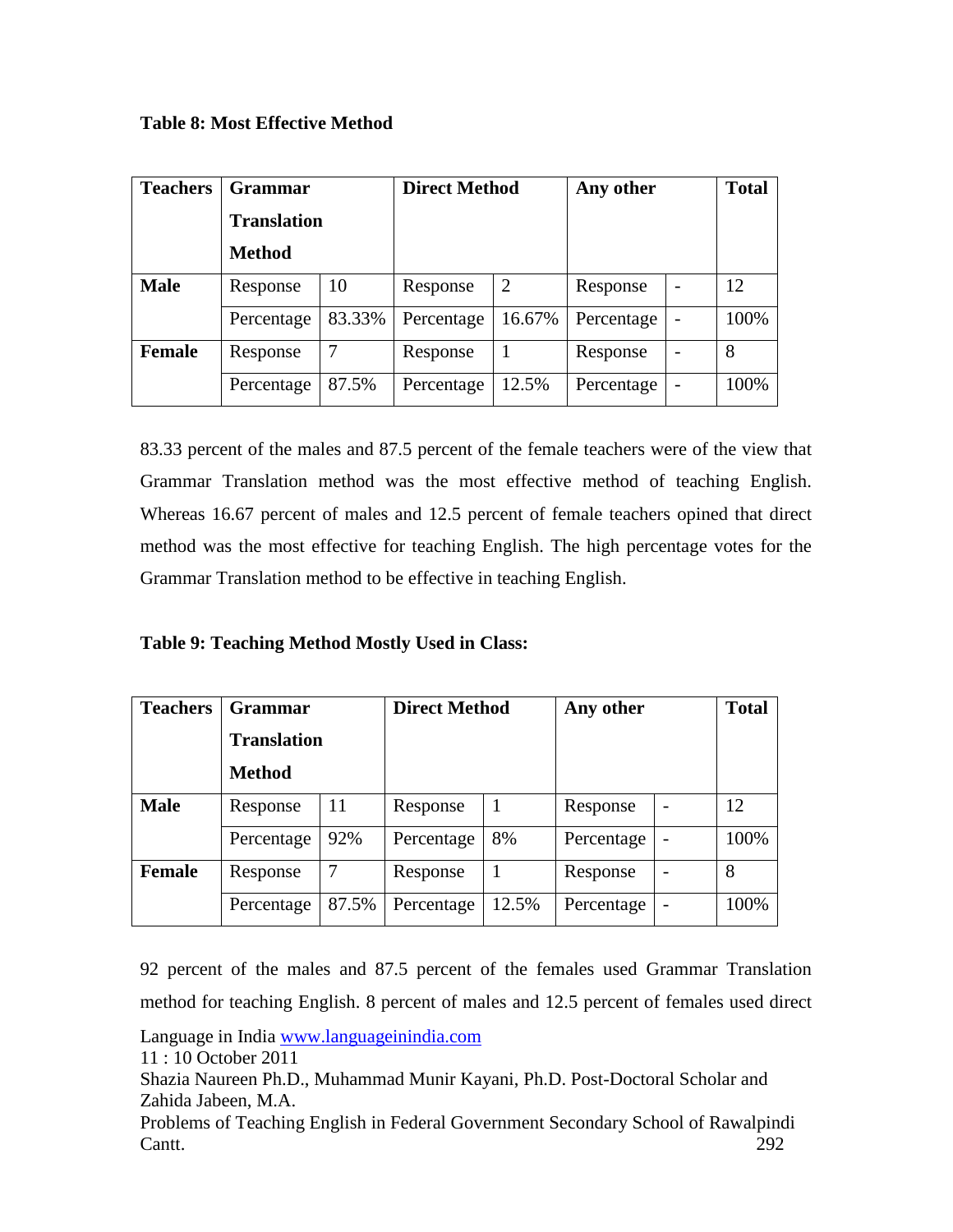**Table 8: Most Effective Method**

| <b>Teachers</b> | <b>Grammar</b>     |        | <b>Direct Method</b> |                | Any other  | <b>Total</b> |      |
|-----------------|--------------------|--------|----------------------|----------------|------------|--------------|------|
|                 | <b>Translation</b> |        |                      |                |            |              |      |
|                 | <b>Method</b>      |        |                      |                |            |              |      |
| <b>Male</b>     | Response           | 10     | Response             | $\overline{2}$ | Response   |              | 12   |
|                 | Percentage         | 83.33% | Percentage           | 16.67%         | Percentage |              | 100% |
| <b>Female</b>   | Response           |        | Response             |                | Response   |              | 8    |
|                 | Percentage         | 87.5%  | Percentage           | 12.5%          | Percentage |              | 100% |

83.33 percent of the males and 87.5 percent of the female teachers were of the view that Grammar Translation method was the most effective method of teaching English. Whereas 16.67 percent of males and 12.5 percent of female teachers opined that direct method was the most effective for teaching English. The high percentage votes for the Grammar Translation method to be effective in teaching English.

**Table 9: Teaching Method Mostly Used in Class:**

| <b>Teachers</b> | <b>Grammar</b>     |       | <b>Direct Method</b> |       | Any other  | <b>Total</b> |      |
|-----------------|--------------------|-------|----------------------|-------|------------|--------------|------|
|                 | <b>Translation</b> |       |                      |       |            |              |      |
|                 | <b>Method</b>      |       |                      |       |            |              |      |
| <b>Male</b>     | Response           | 11    | Response             | 1     | Response   |              | 12   |
|                 | Percentage         | 92%   | Percentage           | 8%    | Percentage |              | 100% |
| <b>Female</b>   | Response           |       | Response             | 1     | Response   |              | 8    |
|                 | Percentage         | 87.5% | Percentage           | 12.5% | Percentage |              | 100% |

92 percent of the males and 87.5 percent of the females used Grammar Translation method for teaching English. 8 percent of males and 12.5 percent of females used direct

Language in India [www.languageinindia.com](http://www.languageinindia.com/)

11 : 10 October 2011

Shazia Naureen Ph.D., Muhammad Munir Kayani, Ph.D. Post-Doctoral Scholar and Zahida Jabeen, M.A.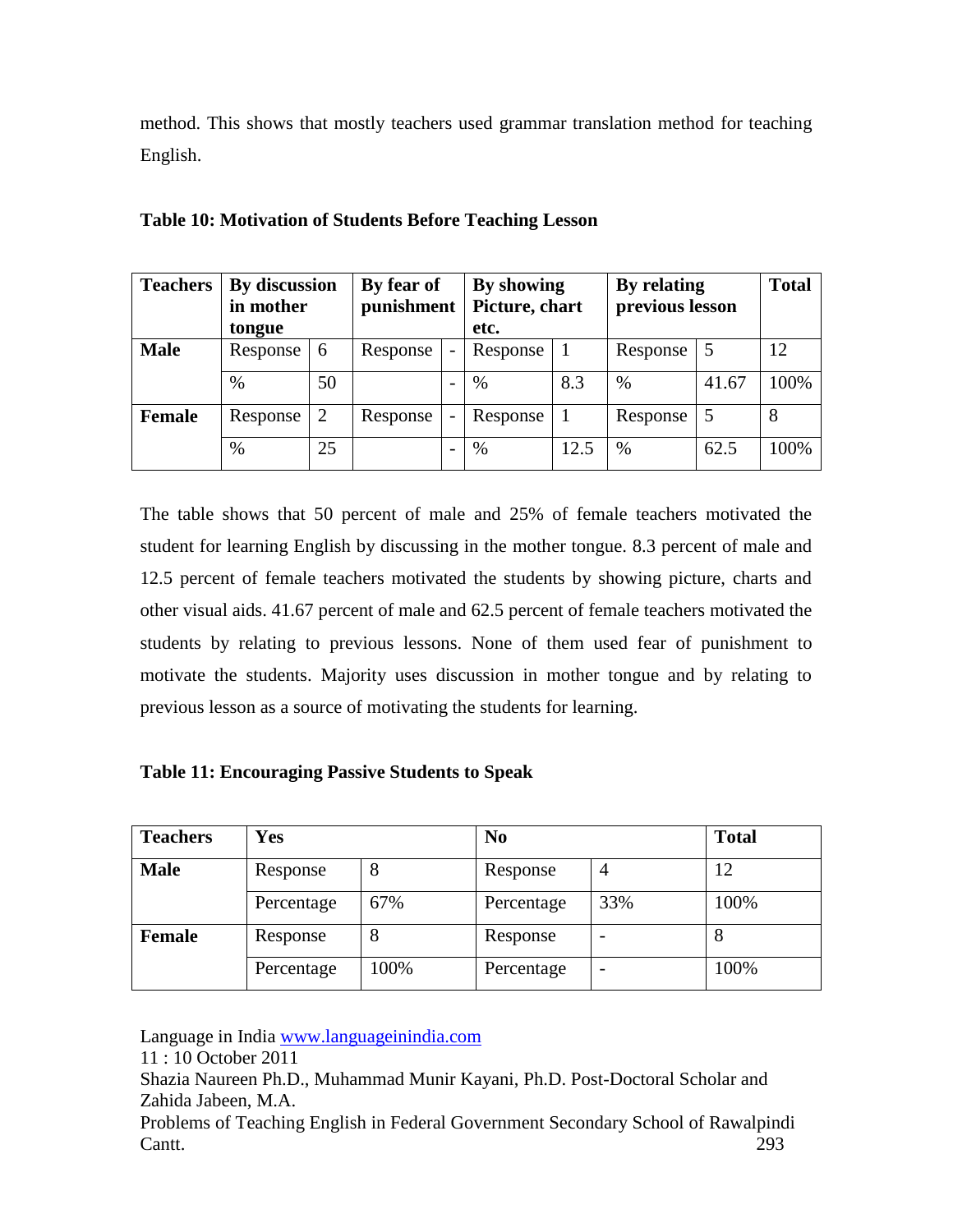method. This shows that mostly teachers used grammar translation method for teaching English.

| <b>Teachers</b> | By discussion<br>in mother<br>tongue |    | By fear of<br>punishment |                          | By showing<br>Picture, chart<br>etc. |      | By relating<br>previous lesson |       | <b>Total</b> |
|-----------------|--------------------------------------|----|--------------------------|--------------------------|--------------------------------------|------|--------------------------------|-------|--------------|
| <b>Male</b>     | Response                             | 6  | Response                 | $\overline{\phantom{0}}$ | Response                             |      | Response                       | 5     | 12           |
|                 | $\%$                                 | 50 |                          |                          | $\%$                                 | 8.3  | $\%$                           | 41.67 | 100%         |
| <b>Female</b>   | Response                             |    | Response                 | -                        | Response                             |      | Response                       |       | 8            |
|                 | $\%$                                 | 25 |                          | $\overline{\phantom{0}}$ | $\%$                                 | 12.5 | $\%$                           | 62.5  | 100%         |

### **Table 10: Motivation of Students Before Teaching Lesson**

The table shows that 50 percent of male and 25% of female teachers motivated the student for learning English by discussing in the mother tongue. 8.3 percent of male and 12.5 percent of female teachers motivated the students by showing picture, charts and other visual aids. 41.67 percent of male and 62.5 percent of female teachers motivated the students by relating to previous lessons. None of them used fear of punishment to motivate the students. Majority uses discussion in mother tongue and by relating to previous lesson as a source of motivating the students for learning.

#### **Table 11: Encouraging Passive Students to Speak**

| <b>Teachers</b> | <b>Yes</b> |      | N <sub>0</sub> |     | <b>Total</b> |
|-----------------|------------|------|----------------|-----|--------------|
| <b>Male</b>     | Response   | 8    | Response       | 4   | 12           |
|                 | Percentage | 67%  | Percentage     | 33% | 100%         |
| <b>Female</b>   | Response   | 8    | Response       |     | 8            |
|                 | Percentage | 100% | Percentage     |     | 100%         |

Language in India [www.languageinindia.com](http://www.languageinindia.com/)

11 : 10 October 2011

Shazia Naureen Ph.D., Muhammad Munir Kayani, Ph.D. Post-Doctoral Scholar and Zahida Jabeen, M.A.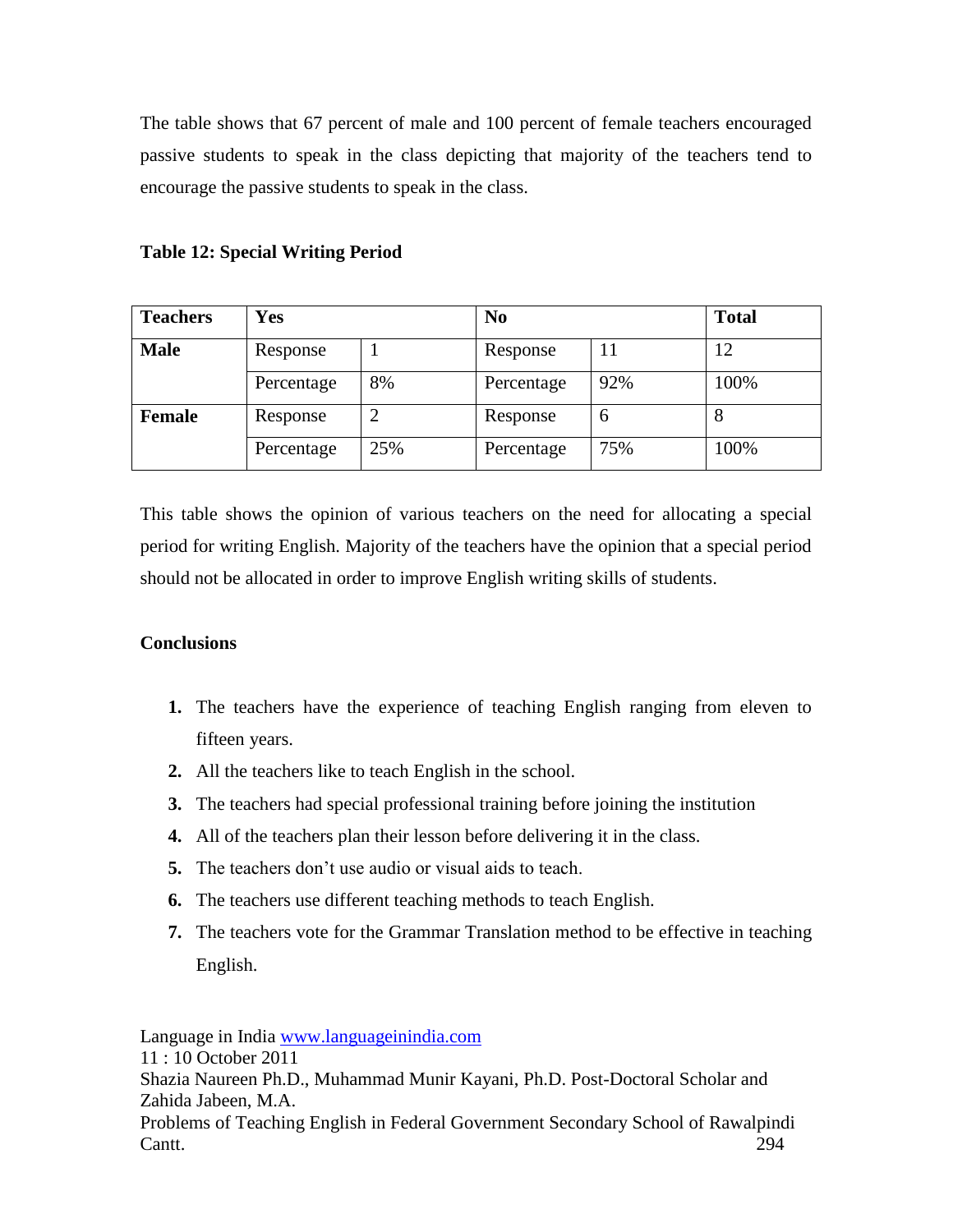The table shows that 67 percent of male and 100 percent of female teachers encouraged passive students to speak in the class depicting that majority of the teachers tend to encourage the passive students to speak in the class.

|  | <b>Table 12: Special Writing Period</b> |  |
|--|-----------------------------------------|--|
|  |                                         |  |

| <b>Teachers</b> | <b>Yes</b> |     | N <sub>0</sub> |               | <b>Total</b> |
|-----------------|------------|-----|----------------|---------------|--------------|
| <b>Male</b>     | Response   |     | Response       | Ħ             | 12           |
|                 | Percentage | 8%  | Percentage     | 92%           | 100%         |
| <b>Female</b>   | Response   | 2   | Response       | $\mathfrak b$ | 8            |
|                 | Percentage | 25% | Percentage     | 75%           | 100%         |

This table shows the opinion of various teachers on the need for allocating a special period for writing English. Majority of the teachers have the opinion that a special period should not be allocated in order to improve English writing skills of students.

## **Conclusions**

- **1.** The teachers have the experience of teaching English ranging from eleven to fifteen years.
- **2.** All the teachers like to teach English in the school.
- **3.** The teachers had special professional training before joining the institution
- **4.** All of the teachers plan their lesson before delivering it in the class.
- **5.** The teachers don't use audio or visual aids to teach.
- **6.** The teachers use different teaching methods to teach English.
- **7.** The teachers vote for the Grammar Translation method to be effective in teaching English.

Language in India [www.languageinindia.com](http://www.languageinindia.com/)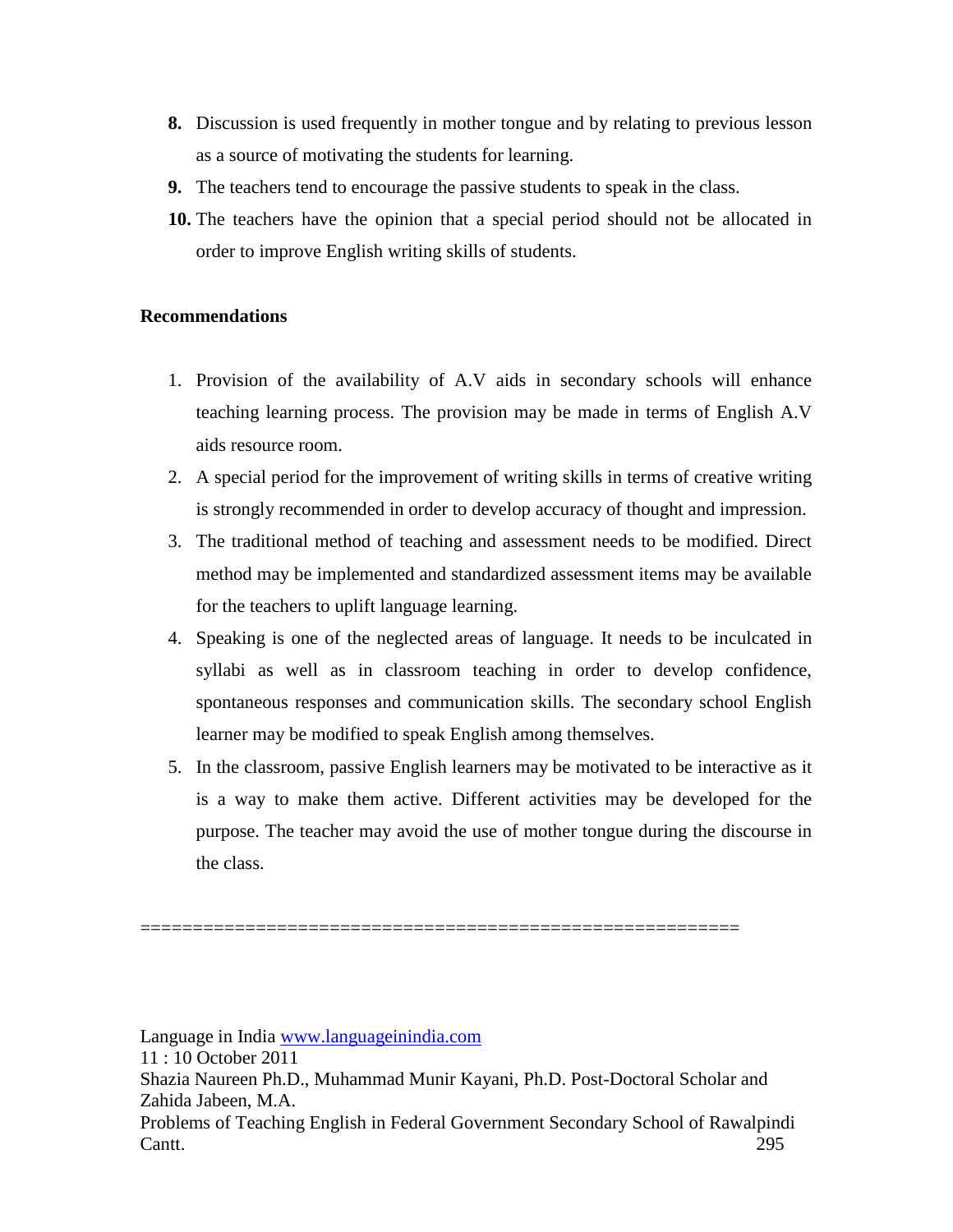- **8.** Discussion is used frequently in mother tongue and by relating to previous lesson as a source of motivating the students for learning.
- **9.** The teachers tend to encourage the passive students to speak in the class.
- **10.** The teachers have the opinion that a special period should not be allocated in order to improve English writing skills of students.

#### **Recommendations**

- 1. Provision of the availability of A.V aids in secondary schools will enhance teaching learning process. The provision may be made in terms of English A.V aids resource room.
- 2. A special period for the improvement of writing skills in terms of creative writing is strongly recommended in order to develop accuracy of thought and impression.
- 3. The traditional method of teaching and assessment needs to be modified. Direct method may be implemented and standardized assessment items may be available for the teachers to uplift language learning.
- 4. Speaking is one of the neglected areas of language. It needs to be inculcated in syllabi as well as in classroom teaching in order to develop confidence, spontaneous responses and communication skills. The secondary school English learner may be modified to speak English among themselves.
- 5. In the classroom, passive English learners may be motivated to be interactive as it is a way to make them active. Different activities may be developed for the purpose. The teacher may avoid the use of mother tongue during the discourse in the class.

Language in India [www.languageinindia.com](http://www.languageinindia.com/)

=========================================================

<sup>11 : 10</sup> October 2011

Shazia Naureen Ph.D., Muhammad Munir Kayani, Ph.D. Post-Doctoral Scholar and Zahida Jabeen, M.A.

Problems of Teaching English in Federal Government Secondary School of Rawalpindi Cantt. 295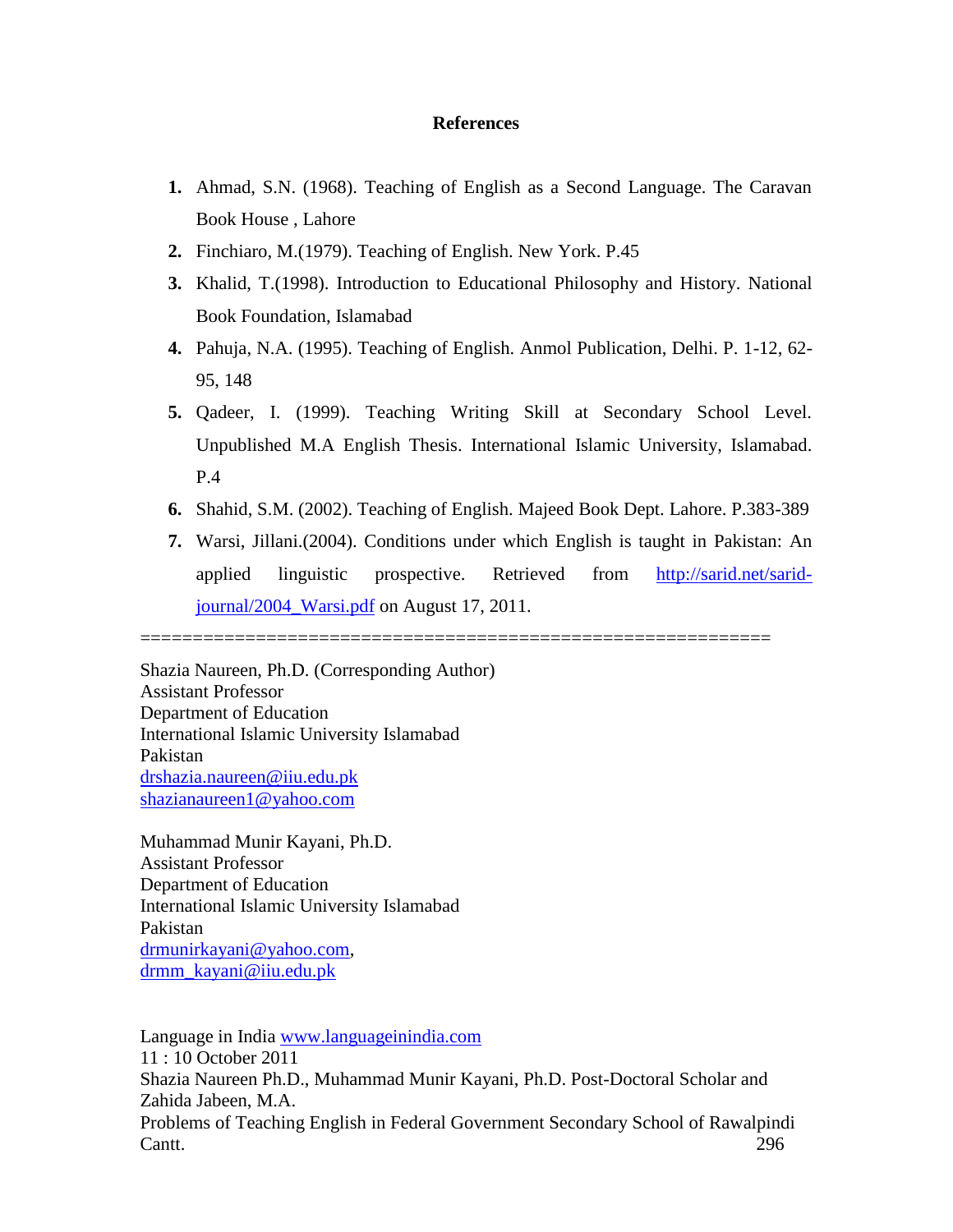#### **References**

- **1.** Ahmad, S.N. (1968). Teaching of English as a Second Language. The Caravan Book House , Lahore
- **2.** Finchiaro, M.(1979). Teaching of English. New York. P.45
- **3.** Khalid, T.(1998). Introduction to Educational Philosophy and History. National Book Foundation, Islamabad
- **4.** Pahuja, N.A. (1995). Teaching of English. Anmol Publication, Delhi. P. 1-12, 62- 95, 148
- **5.** Qadeer, I. (1999). Teaching Writing Skill at Secondary School Level. Unpublished M.A English Thesis. International Islamic University, Islamabad. P.4
- **6.** Shahid, S.M. (2002). Teaching of English. Majeed Book Dept. Lahore. P.383-389
- **7.** Warsi, Jillani.(2004). Conditions under which English is taught in Pakistan: An applied linguistic prospective. Retrieved from [http://sarid.net/sarid](http://sarid.net/sarid-journal/2004_Warsi.pdf)[journal/2004\\_Warsi.pdf](http://sarid.net/sarid-journal/2004_Warsi.pdf) on August 17, 2011.

============================================================

Shazia Naureen, Ph.D. (Corresponding Author) Assistant Professor Department of Education International Islamic University Islamabad Pakistan [drshazia.naureen@iiu.edu.pk](mailto:drshazia.naureen@iiu.edu.pk) [shazianaureen1@yahoo.com](mailto:shazianaureen1@yahoo.com)

Muhammad Munir Kayani, Ph.D. Assistant Professor Department of Education International Islamic University Islamabad Pakistan [drmunirkayani@yahoo.com,](mailto:drmunirkayani@yahoo.com) [drmm\\_kayani@iiu.edu.pk](mailto:drmm_kayani@iiu.edu.pk)